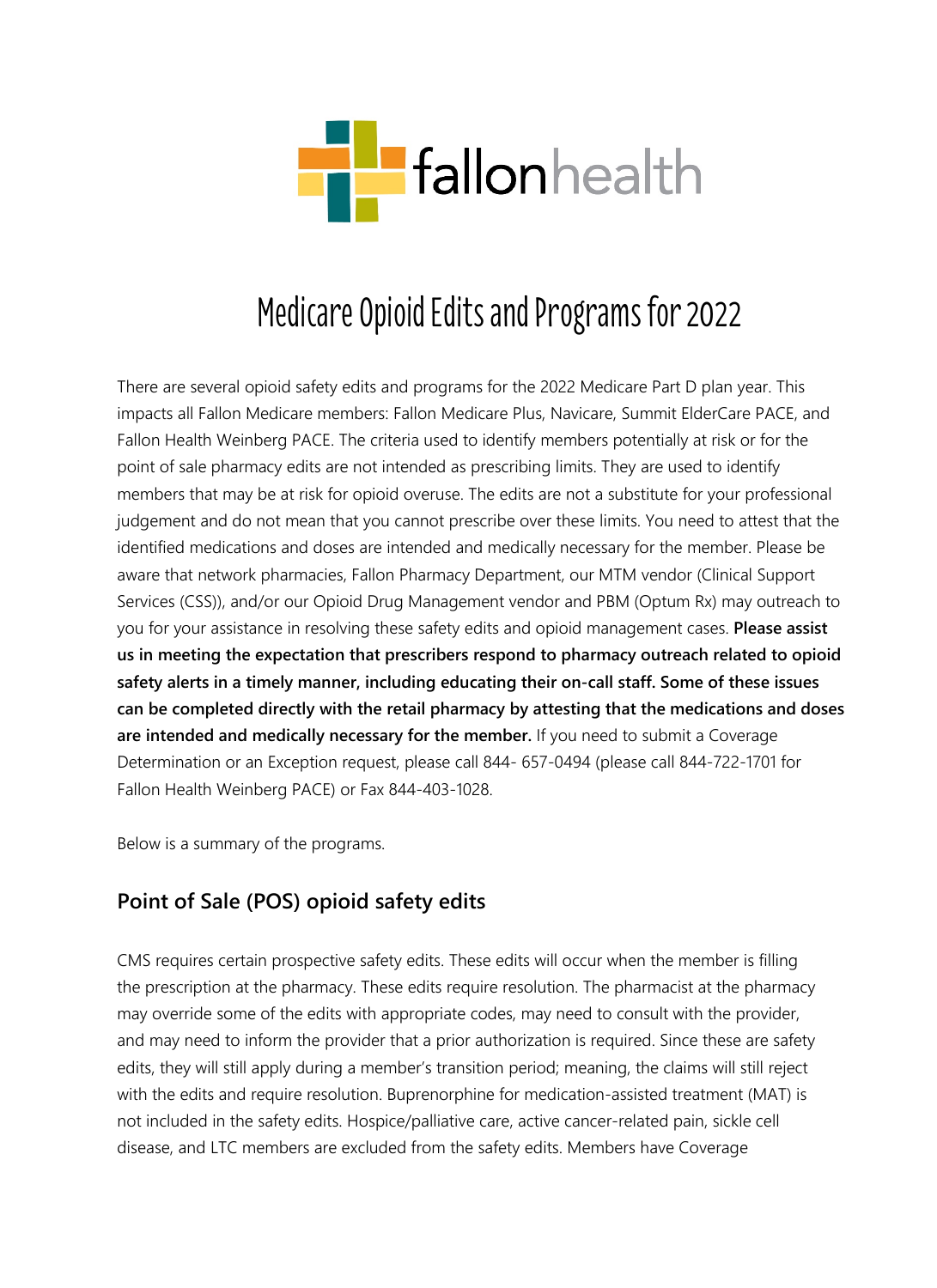

## Medicare Opioid Edits and Programs for 2022

There are several opioid safety edits and programs for the 2022 Medicare Part D plan year. This impacts all Fallon Medicare members: Fallon Medicare Plus, Navicare, Summit ElderCare PACE, and Fallon Health Weinberg PACE. The criteria used to identify members potentially at risk or for the point of sale pharmacy edits are not intended as prescribing limits. They are used to identify members that may be at risk for opioid overuse. The edits are not a substitute for your professional judgement and do not mean that you cannot prescribe over these limits. You need to attest that the identified medications and doses are intended and medically necessary for the member. Please be aware that network pharmacies, Fallon Pharmacy Department, our MTM vendor (Clinical Support Services (CSS)), and/or our Opioid Drug Management vendor and PBM (Optum Rx) may outreach to you for your assistance in resolving these safety edits and opioid management cases. **Please assist us in meeting the expectation that prescribers respond to pharmacy outreach related to opioid safety alerts in a timely manner, including educating their on-call staff. Some of these issues can be completed directly with the retail pharmacy by attesting that the medications and doses are intended and medically necessary for the member.** If you need to submit a Coverage Determination or an Exception request, please call 844- 657-0494 (please call 844-722-1701 for Fallon Health Weinberg PACE) or Fax 844-403-1028.

Below is a summary of the programs.

## **Point of Sale (POS) opioid safety edits**

CMS requires certain prospective safety edits. These edits will occur when the member is filling the prescription at the pharmacy. These edits require resolution. The pharmacist at the pharmacy may override some of the edits with appropriate codes, may need to consult with the provider, and may need to inform the provider that a prior authorization is required. Since these are safety edits, they will still apply during a member's transition period; meaning, the claims will still reject with the edits and require resolution. Buprenorphine for medication-assisted treatment (MAT) is not included in the safety edits. Hospice/palliative care, active cancer-related pain, sickle cell disease, and LTC members are excluded from the safety edits. Members have Coverage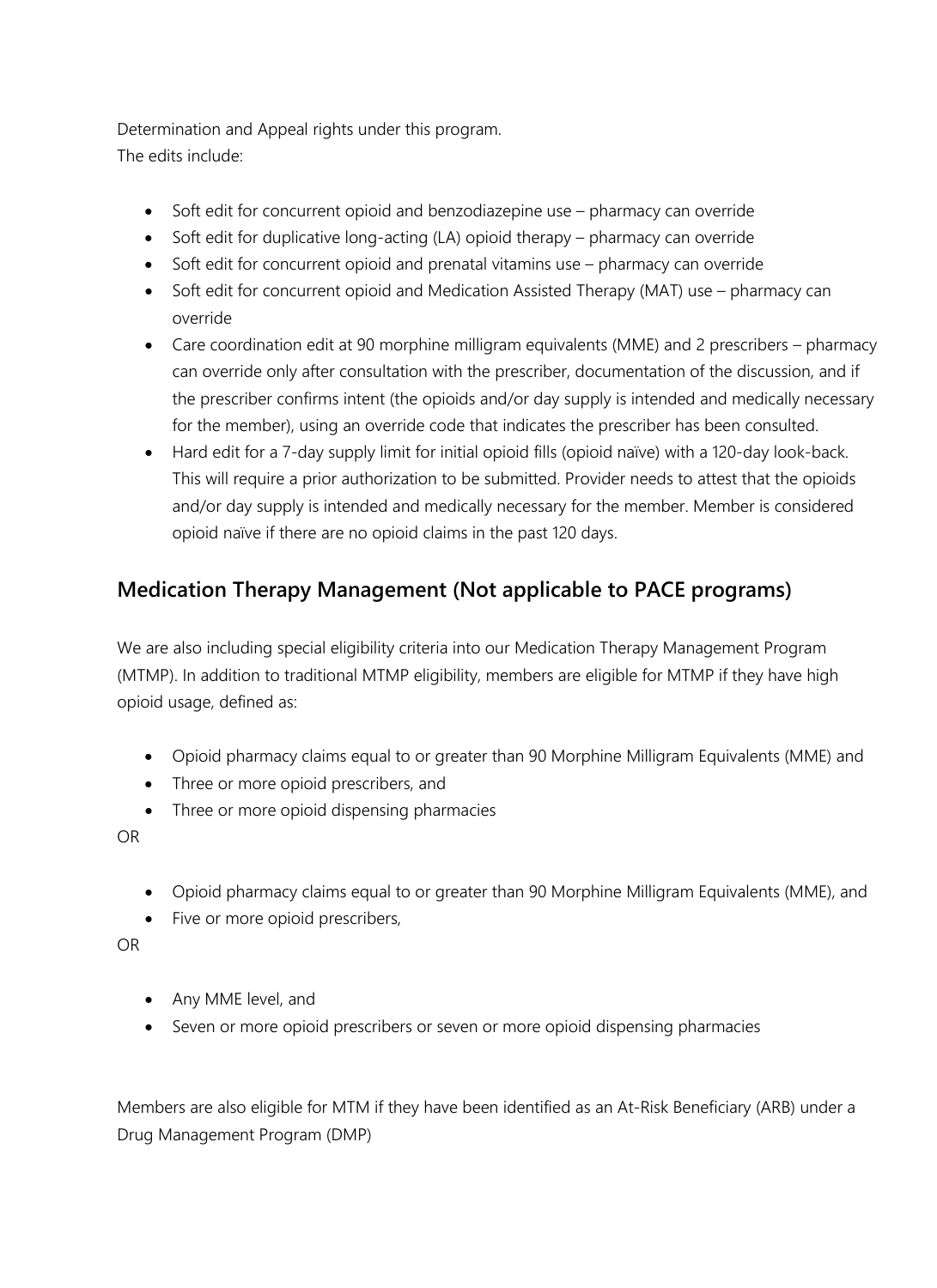Determination and Appeal rights under this program. The edits include:

- Soft edit for concurrent opioid and benzodiazepine use pharmacy can override
- Soft edit for duplicative long-acting (LA) opioid therapy pharmacy can override
- Soft edit for concurrent opioid and prenatal vitamins use pharmacy can override
- Soft edit for concurrent opioid and Medication Assisted Therapy (MAT) use pharmacy can override
- Care coordination edit at 90 morphine milligram equivalents (MME) and 2 prescribers pharmacy can override only after consultation with the prescriber, documentation of the discussion, and if the prescriber confirms intent (the opioids and/or day supply is intended and medically necessary for the member), using an override code that indicates the prescriber has been consulted.
- Hard edit for a 7-day supply limit for initial opioid fills (opioid naïve) with a 120-day look-back. This will require a prior authorization to be submitted. Provider needs to attest that the opioids and/or day supply is intended and medically necessary for the member. Member is considered opioid naïve if there are no opioid claims in the past 120 days.

## **Medication Therapy Management (Not applicable to PACE programs)**

We are also including special eligibility criteria into our Medication Therapy Management Program (MTMP). In addition to traditional MTMP eligibility, members are eligible for MTMP if they have high opioid usage, defined as:

- Opioid pharmacy claims equal to or greater than 90 Morphine Milligram Equivalents (MME) and
- Three or more opioid prescribers, and
- Three or more opioid dispensing pharmacies

OR

- Opioid pharmacy claims equal to or greater than 90 Morphine Milligram Equivalents (MME), and
- Five or more opioid prescribers,

OR

- Any MME level, and
- Seven or more opioid prescribers or seven or more opioid dispensing pharmacies

Members are also eligible for MTM if they have been identified as an At-Risk Beneficiary (ARB) under a Drug Management Program (DMP)